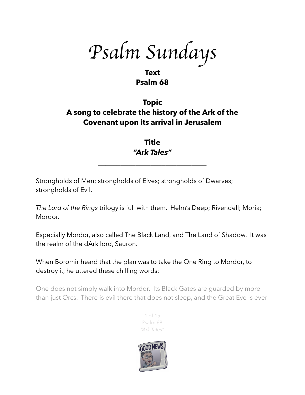*Psalm Sundays*

### **Text Psalm 68**

# **Topic A song to celebrate the history of the Ark of the Covenant upon its arrival in Jerusalem**

## **Title** *"Ark Tales"*

\_\_\_\_\_\_\_\_\_\_\_\_\_\_\_\_\_\_\_\_\_\_\_\_\_\_\_\_\_

Strongholds of Men; strongholds of Elves; strongholds of Dwarves; strongholds of Evil.

*The Lord of the Rings* trilogy is full with them. Helm's Deep; Rivendell; Moria; Mordor.

Especially Mordor, also called The Black Land, and The Land of Shadow. It was the realm of the dArk lord, Sauron.

When Boromir heard that the plan was to take the One Ring to Mordor, to destroy it, he uttered these chilling words:

One does not simply walk into Mordor. Its Black Gates are guarded by more than just Orcs. There is evil there that does not sleep, and the Great Eye is ever



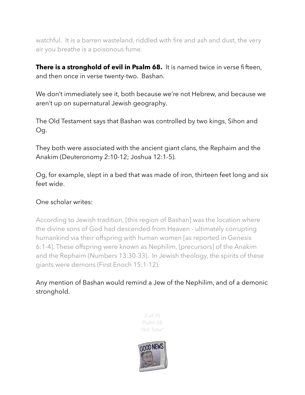watchful. It is a barren wasteland, riddled with fire and ash and dust, the very air you breathe is a poisonous fume.

**There is a stronghold of evil in Psalm 68.** It is named twice in verse fifteen, and then once in verse twenty-two. Bashan.

We don't immediately see it, both because we're not Hebrew, and because we aren't up on supernatural Jewish geography.

The Old Testament says that Bashan was controlled by two kings, Sihon and Og.

They both were associated with the ancient giant clans, the Rephaim and the Anakim (Deuteronomy 2:10-12; Joshua 12:1-5).

Og, for example, slept in a bed that was made of iron, thirteen feet long and six feet wide.

#### One scholar writes:

According to Jewish tradition, [this region of Bashan] was the location where the divine sons of God had descended from Heaven - ultimately corrupting humankind via their offspring with human women [as reported in Genesis 6:1-4]. These offspring were known as Nephilim, [precursors] of the Anakim and the Rephaim (Numbers 13:30-33). In Jewish theology, the spirits of these giants were demons (First Enoch 15:1-12).

Any mention of Bashan would remind a Jew of the Nephilim, and of a demonic stronghold.

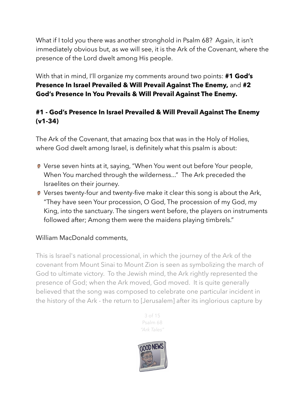What if I told you there was another stronghold in Psalm 68? Again, it isn't immediately obvious but, as we will see, it is the Ark of the Covenant, where the presence of the Lord dwelt among His people.

With that in mind, I'll organize my comments around two points: **#1 God's Presence In Israel Prevailed & Will Prevail Against The Enemy,** and **#2 God's Presence In You Prevails & Will Prevail Against The Enemy.** 

### **#1 - God's Presence In Israel Prevailed & Will Prevail Against The Enemy (v1-34)**

The Ark of the Covenant, that amazing box that was in the Holy of Holies, where God dwelt among Israel, is definitely what this psalm is about:

- Verse seven hints at it, saying, "When You went out before Your people, When You marched through the wilderness..." The Ark preceded the Israelites on their journey.
- Verses twenty-four and twenty-five make it clear this song is about the Ark, "They have seen Your procession, O God, The procession of my God, my King, into the sanctuary. The singers went before, the players on instruments followed after; Among them were the maidens playing timbrels."

#### William MacDonald comments,

This is Israel's national processional, in which the journey of the Ark of the covenant from Mount Sinai to Mount Zion is seen as symbolizing the march of God to ultimate victory. To the Jewish mind, the Ark rightly represented the presence of God; when the Ark moved, God moved. It is quite generally believed that the song was composed to celebrate one particular incident in the history of the Ark - the return to [Jerusalem] after its inglorious capture by



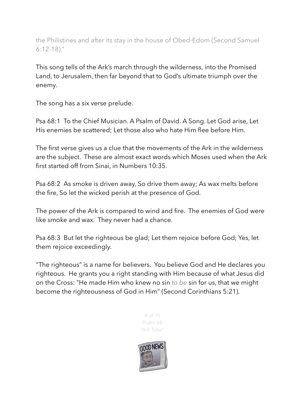the Philistines and after its stay in the house of Obed-Edom (Second Samuel 6:12-18)."

This song tells of the Ark's march through the wilderness, into the Promised Land, to Jerusalem, then far beyond that to God's ultimate triumph over the enemy.

The song has a six verse prelude.

Psa 68:1 To the Chief Musician. A Psalm of David. A Song. Let God arise, Let His enemies be scattered; Let those also who hate Him flee before Him.

The first verse gives us a clue that the movements of the Ark in the wilderness are the subject. These are almost exact words which Moses used when the Ark first started off from Sinai, in Numbers 10:35.

Psa 68:2 As smoke is driven away, So drive them away; As wax melts before the fire, So let the wicked perish at the presence of God.

The power of the Ark is compared to wind and fire. The enemies of God were like smoke and wax. They never had a chance.

Psa 68:3 But let the righteous be glad; Let them rejoice before God; Yes, let them rejoice exceedingly.

"The righteous" is a name for believers. You believe God and He declares you righteous. He grants you a right standing with Him because of what Jesus did on the Cross: "He made Him who knew no sin *to be* sin for us, that we might become the righteousness of God in Him" (Second Corinthians 5:21).



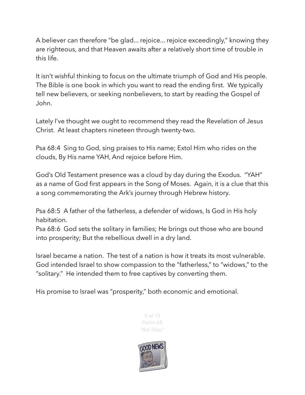A believer can therefore "be glad... rejoice... rejoice exceedingly," knowing they are righteous, and that Heaven awaits after a relatively short time of trouble in this life.

It isn't wishful thinking to focus on the ultimate triumph of God and His people. The Bible is one book in which you want to read the ending first. We typically tell new believers, or seeking nonbelievers, to start by reading the Gospel of John.

Lately I've thought we ought to recommend they read the Revelation of Jesus Christ. At least chapters nineteen through twenty-two.

Psa 68:4 Sing to God, sing praises to His name; Extol Him who rides on the clouds, By His name YAH, And rejoice before Him.

God's Old Testament presence was a cloud by day during the Exodus. "YAH" as a name of God first appears in the Song of Moses. Again, it is a clue that this a song commemorating the Ark's journey through Hebrew history.

Psa 68:5 A father of the fatherless, a defender of widows, Is God in His holy habitation.

Psa 68:6 God sets the solitary in families; He brings out those who are bound into prosperity; But the rebellious dwell in a dry land.

Israel became a nation. The test of a nation is how it treats its most vulnerable. God intended Israel to show compassion to the "fatherless," to "widows," to the "solitary." He intended them to free captives by converting them.

His promise to Israel was "prosperity," both economic and emotional.



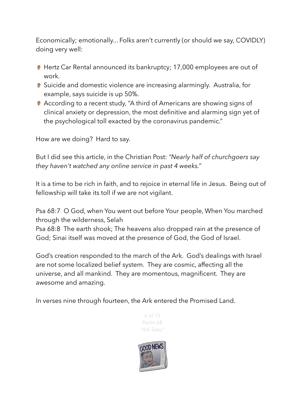Economically; emotionally... Folks aren't currently (or should we say, COVIDLY) doing very well:

- Hertz Car Rental announced its bankruptcy; 17,000 employees are out of work.
- **Suicide and domestic violence are increasing alarmingly. Australia, for** example, says suicide is up 50%.
- According to a recent study, "A third of Americans are showing signs of clinical anxiety or depression, the most definitive and alarming sign yet of the psychological toll exacted by the coronavirus pandemic."

How are we doing? Hard to say.

But I did see this article, in the Christian Post: *"Nearly half of churchgoers say they haven't watched any online service in past 4 weeks."*

It is a time to be rich in faith, and to rejoice in eternal life in Jesus. Being out of fellowship will take its toll if we are not vigilant.

Psa 68:7 O God, when You went out before Your people, When You marched through the wilderness, Selah

Psa 68:8 The earth shook; The heavens also dropped rain at the presence of God; Sinai itself was moved at the presence of God, the God of Israel.

God's creation responded to the march of the Ark. God's dealings with Israel are not some localized belief system. They are cosmic, affecting all the universe, and all mankind. They are momentous, magnificent. They are awesome and amazing.

In verses nine through fourteen, the Ark entered the Promised Land.



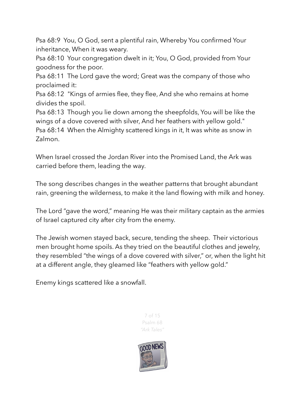Psa 68:9 You, O God, sent a plentiful rain, Whereby You confirmed Your inheritance, When it was weary.

Psa 68:10 Your congregation dwelt in it; You, O God, provided from Your goodness for the poor.

Psa 68:11 The Lord gave the word; Great was the company of those who proclaimed it:

Psa 68:12 "Kings of armies flee, they flee, And she who remains at home divides the spoil.

Psa 68:13 Though you lie down among the sheepfolds, You will be like the wings of a dove covered with silver, And her feathers with yellow gold." Psa 68:14 When the Almighty scattered kings in it, It was white as snow in Zalmon.

When Israel crossed the Jordan River into the Promised Land, the Ark was carried before them, leading the way.

The song describes changes in the weather patterns that brought abundant rain, greening the wilderness, to make it the land flowing with milk and honey.

The Lord "gave the word," meaning He was their military captain as the armies of Israel captured city after city from the enemy.

The Jewish women stayed back, secure, tending the sheep. Their victorious men brought home spoils. As they tried on the beautiful clothes and jewelry, they resembled "the wings of a dove covered with silver," or, when the light hit at a different angle, they gleamed like "feathers with yellow gold."

Enemy kings scattered like a snowfall.

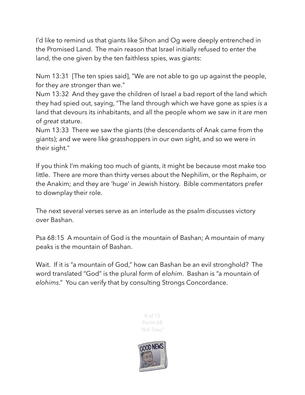I'd like to remind us that giants like Sihon and Og were deeply entrenched in the Promised Land. The main reason that Israel initially refused to enter the land, the one given by the ten faithless spies, was giants:

Num 13:31 [The ten spies said], "We are not able to go up against the people, for they *are* stronger than we."

Num 13:32 And they gave the children of Israel a bad report of the land which they had spied out, saying, "The land through which we have gone as spies *is* a land that devours its inhabitants, and all the people whom we saw in it *are* men of *great* stature.

Num 13:33 There we saw the giants (the descendants of Anak came from the giants); and we were like grasshoppers in our own sight, and so we were in their sight."

If you think I'm making too much of giants, it might be because most make too little. There are more than thirty verses about the Nephilim, or the Rephaim, or the Anakim; and they are 'huge' in Jewish history. Bible commentators prefer to downplay their role.

The next several verses serve as an interlude as the psalm discusses victory over Bashan.

Psa 68:15 A mountain of God is the mountain of Bashan; A mountain of many peaks is the mountain of Bashan.

Wait. If it is "a mountain of God," how can Bashan be an evil stronghold? The word translated "God" is the plural form of *elohim*. Bashan is "a mountain of *elohims*." You can verify that by consulting Strongs Concordance.



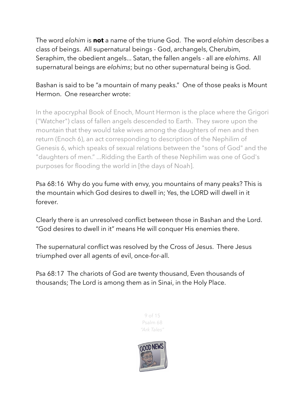The word *elohim* is **not** a name of the triune God. The word *elohim* describes a class of beings. All supernatural beings - God, archangels, Cherubim, Seraphim, the obedient angels... Satan, the fallen angels - all are *elohims*. All supernatural beings are *elohims*; but no other supernatural being is God.

### Bashan is said to be "a mountain of many peaks." One of those peaks is Mount Hermon. One researcher wrote:

In the apocryphal [Book of Enoch](https://www.newworldencyclopedia.org/entry/Book_of_Enoch), Mount Hermon is the place where the [Grigori](https://www.newworldencyclopedia.org/entry/Grigori)  ("Watcher") class of fallen angels descended to [Earth](https://www.newworldencyclopedia.org/entry/Earth). They swore upon the mountain that they would take wives among the daughters of men and then return (Enoch 6), an act corresponding to description of the [Nephilim](https://www.newworldencyclopedia.org/entry/Nephilim) of Genesis 6, which speaks of sexual relations between the "sons of God" and the "daughters of men." ...Ridding the Earth of these Nephilim was one of God's purposes for flooding the world in [the days of Noah].

Psa 68:16 Why do you fume with envy, you mountains of many peaks? This is the mountain which God desires to dwell in; Yes, the LORD will dwell in it forever.

Clearly there is an unresolved conflict between those in Bashan and the Lord. "God desires to dwell in it" means He will conquer His enemies there.

The supernatural conflict was resolved by the Cross of Jesus. There Jesus triumphed over all agents of evil, once-for-all.

Psa 68:17 The chariots of God are twenty thousand, Even thousands of thousands; The Lord is among them as in Sinai, in the Holy Place.



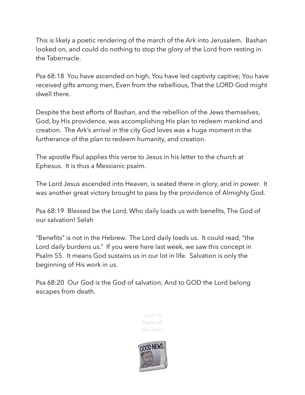This is likely a poetic rendering of the march of the Ark into Jerusalem. Bashan looked on, and could do nothing to stop the glory of the Lord from resting in the Tabernacle.

Psa 68:18 You have ascended on high, You have led captivity captive; You have received gifts among men, Even from the rebellious, That the LORD God might dwell there.

Despite the best efforts of Bashan, and the rebellion of the Jews themselves, God, by His providence, was accomplishing His plan to redeem mankind and creation. The Ark's arrival in the city God loves was a huge moment in the furtherance of the plan to redeem humanity, and creation.

The apostle Paul applies this verse to Jesus in his letter to the church at Ephesus. It is thus a Messianic psalm.

The Lord Jesus ascended into Heaven, is seated there in glory, and in power. It was another great victory brought to pass by the providence of Almighty God.

Psa 68:19 Blessed be the Lord, Who daily loads us with benefits, The God of our salvation! Selah

"Benefits" is not in the Hebrew. The Lord daily loads us. It could read, "the Lord daily burdens us." If you were here last week, we saw this concept in Psalm 55. It means God sustains us in our lot in life. Salvation is only the beginning of His work in us.

Psa 68:20 Our God is the God of salvation; And to GOD the Lord belong escapes from death.



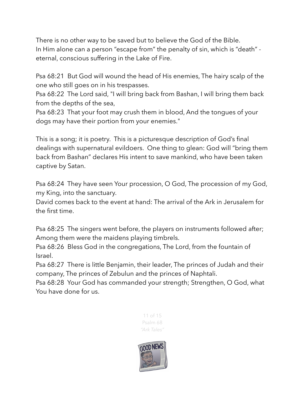There is no other way to be saved but to believe the God of the Bible. In Him alone can a person "escape from" the penalty of sin, which is "death" eternal, conscious suffering in the Lake of Fire.

Psa 68:21 But God will wound the head of His enemies, The hairy scalp of the one who still goes on in his trespasses.

Psa 68:22 The Lord said, "I will bring back from Bashan, I will bring them back from the depths of the sea,

Psa 68:23 That your foot may crush them in blood, And the tongues of your dogs may have their portion from your enemies."

This is a song; it is poetry. This is a picturesque description of God's final dealings with supernatural evildoers. One thing to glean: God will "bring them back from Bashan" declares His intent to save mankind, who have been taken captive by Satan.

Psa 68:24 They have seen Your procession, O God, The procession of my God, my King, into the sanctuary.

David comes back to the event at hand: The arrival of the Ark in Jerusalem for the first time.

Psa 68:25 The singers went before, the players on instruments followed after; Among them were the maidens playing timbrels.

Psa 68:26 Bless God in the congregations, The Lord, from the fountain of Israel.

Psa 68:27 There is little Benjamin, their leader, The princes of Judah and their company, The princes of Zebulun and the princes of Naphtali.

Psa 68:28 Your God has commanded your strength; Strengthen, O God, what You have done for us.



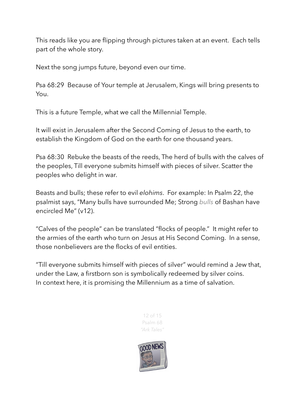This reads like you are flipping through pictures taken at an event. Each tells part of the whole story.

Next the song jumps future, beyond even our time.

Psa 68:29 Because of Your temple at Jerusalem, Kings will bring presents to You.

This is a future Temple, what we call the Millennial Temple.

It will exist in Jerusalem after the Second Coming of Jesus to the earth, to establish the Kingdom of God on the earth for one thousand years.

Psa 68:30 Rebuke the beasts of the reeds, The herd of bulls with the calves of the peoples, Till everyone submits himself with pieces of silver. Scatter the peoples who delight in war.

Beasts and bulls; these refer to evil *elohims*. For example: In Psalm 22, the psalmist says, "Many bulls have surrounded Me; Strong *bulls* of Bashan have encircled Me" (v12).

"Calves of the people" can be translated "flocks of people." It might refer to the armies of the earth who turn on Jesus at His Second Coming. In a sense, those nonbelievers are the flocks of evil entities.

"Till everyone submits himself with pieces of silver" would remind a Jew that, under the Law, a firstborn son is symbolically redeemed by silver coins. In context here, it is promising the Millennium as a time of salvation.



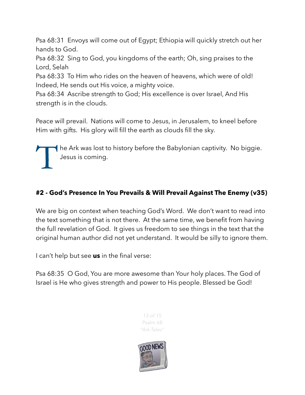Psa 68:31 Envoys will come out of Egypt; Ethiopia will quickly stretch out her hands to God.

Psa 68:32 Sing to God, you kingdoms of the earth; Oh, sing praises to the Lord, Selah

Psa 68:33 To Him who rides on the heaven of heavens, which were of old! Indeed, He sends out His voice, a mighty voice.

Psa 68:34 Ascribe strength to God; His excellence is over Israel, And His strength is in the clouds.

Peace will prevail. Nations will come to Jesus, in Jerusalem, to kneel before Him with gifts. His glory will fill the earth as clouds fill the sky.

The Ark was lost to history before the Babylonian captivity. No biggie. Jesus is coming.

### **#2 - God's Presence In You Prevails & Will Prevail Against The Enemy (v35)**

We are big on context when teaching God's Word. We don't want to read into the text something that is not there. At the same time, we benefit from having the full revelation of God. It gives us freedom to see things in the text that the original human author did not yet understand. It would be silly to ignore them.

I can't help but see **us** in the final verse:

Psa 68:35 O God, You are more awesome than Your holy places. The God of Israel is He who gives strength and power to His people. Blessed be God!



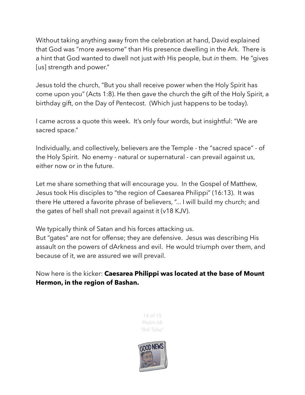Without taking anything away from the celebration at hand, David explained that God was "more awesome" than His presence dwelling in the Ark. There is a hint that God wanted to dwell not just *with* His people, but *in* them. He "gives [us] strength and power."

Jesus told the church, "But you shall receive power when the Holy Spirit has come upon you" (Acts 1:8). He then gave the church the gift of the Holy Spirit, a birthday gift, on the Day of Pentecost. (Which just happens to be today).

I came across a quote this week. It's only four words, but insightful: "We are sacred space."

Individually, and collectively, believers are the Temple - the "sacred space" - of the Holy Spirit. No enemy - natural or supernatural - can prevail against us, either now or in the future.

Let me share something that will encourage you. In the Gospel of Matthew, Jesus took His disciples to "the region of Caesarea Philippi" (16:13). It was there He uttered a favorite phrase of believers, "... I will build my church; and the gates of hell shall not prevail against it (v18 KJV).

We typically think of Satan and his forces attacking us. But "gates" are not for offense; they are defensive. Jesus was describing His assault on the powers of dArkness and evil. He would triumph over them, and because of it, we are assured we will prevail.

Now here is the kicker: **Caesarea Philippi was located at the base of Mount Hermon, in the region of Bashan.**